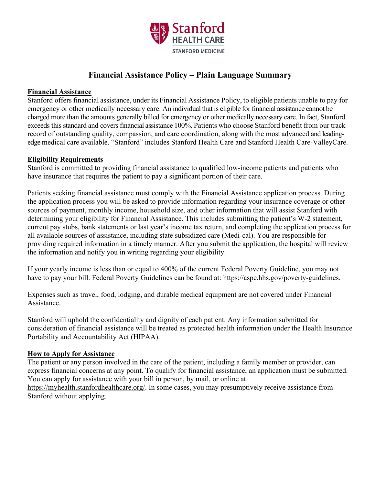

# **Financial Assistance Policy – Plain Language Summary**

## **Financial Assistance**

Stanford offers financial assistance, under its Financial Assistance Policy, to eligible patients unable to pay for emergency or other medically necessary care. An individual that is eligible for financial assistance cannot be charged more than the amounts generally billed for emergency or other medically necessary care. In fact, Stanford exceeds this standard and covers financial assistance 100%. Patients who choose Stanford benefit from our track record of outstanding quality, compassion, and care coordination, along with the most advanced and leadingedge medical care available. "Stanford" includes Stanford Health Care and Stanford Health Care-ValleyCare.

## **Eligibility Requirements**

Stanford is committed to providing financial assistance to qualified low-income patients and patients who have insurance that requires the patient to pay a significant portion of their care.

Patients seeking financial assistance must comply with the Financial Assistance application process. During the application process you will be asked to provide information regarding your insurance coverage or other sources of payment, monthly income, household size, and other information that will assist Stanford with determining your eligibility for Financial Assistance. This includes submitting the patient's W-2 statement, current pay stubs, bank statements or last year's income tax return, and completing the application process for all available sources of assistance, including state subsidized care (Medi-cal). You are responsible for providing required information in a timely manner. After you submit the application, the hospital will review the information and notify you in writing regarding your eligibility.

If your yearly income is less than or equal to 400% of the current Federal Poverty Guideline, you may not have to pay your bill. Federal Poverty Guidelines can be found at: [https://aspe.hhs.gov/poverty-guidelines.](https://aspe.hhs.gov/poverty-guidelines)

Expenses such as travel, food, lodging, and durable medical equipment are not covered under Financial Assistance.

Stanford will uphold the confidentiality and dignity of each patient. Any information submitted for consideration of financial assistance will be treated as protected health information under the Health Insurance Portability and Accountability Act (HIPAA).

## **How to Apply for Assistance**

The patient or any person involved in the care of the patient, including a family member or provider, can express financial concerns at any point. To qualify for financial assistance, an application must be submitted. You can apply for assistance with your bill in person, by mail, or online at [https://myhealth.stanfordhealthcare.org/.](https://myhealth.stanfordhealthcare.org/) In some cases, you may presumptively receive assistance from Stanford without applying.